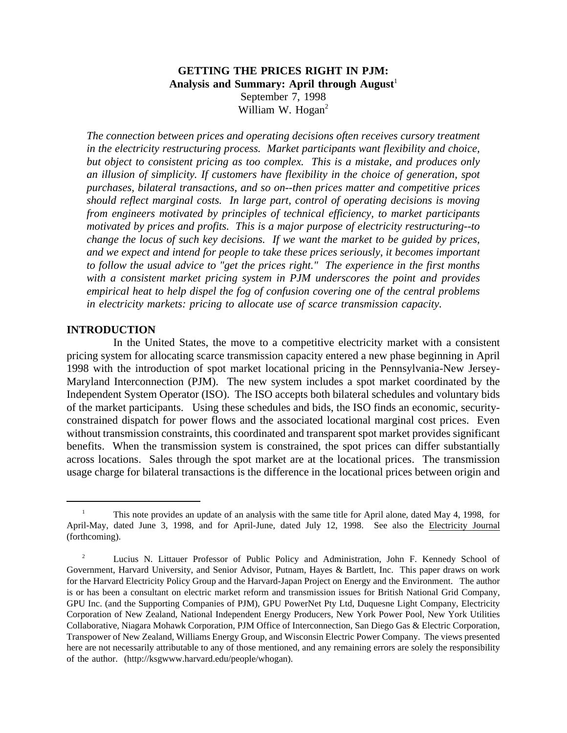# **GETTING THE PRICES RIGHT IN PJM:** Analysis and Summary: April through August<sup>1</sup> September 7, 1998 William W. Hogan<sup>2</sup>

*The connection between prices and operating decisions often receives cursory treatment in the electricity restructuring process. Market participants want flexibility and choice, but object to consistent pricing as too complex. This is a mistake, and produces only an illusion of simplicity. If customers have flexibility in the choice of generation, spot purchases, bilateral transactions, and so on--then prices matter and competitive prices should reflect marginal costs. In large part, control of operating decisions is moving from engineers motivated by principles of technical efficiency, to market participants motivated by prices and profits. This is a major purpose of electricity restructuring--to change the locus of such key decisions. If we want the market to be guided by prices, and we expect and intend for people to take these prices seriously, it becomes important to follow the usual advice to "get the prices right." The experience in the first months with a consistent market pricing system in PJM underscores the point and provides empirical heat to help dispel the fog of confusion covering one of the central problems in electricity markets: pricing to allocate use of scarce transmission capacity.*

### **INTRODUCTION**

In the United States, the move to a competitive electricity market with a consistent pricing system for allocating scarce transmission capacity entered a new phase beginning in April 1998 with the introduction of spot market locational pricing in the Pennsylvania-New Jersey-Maryland Interconnection (PJM). The new system includes a spot market coordinated by the Independent System Operator (ISO). The ISO accepts both bilateral schedules and voluntary bids of the market participants. Using these schedules and bids, the ISO finds an economic, securityconstrained dispatch for power flows and the associated locational marginal cost prices. Even without transmission constraints, this coordinated and transparent spot market provides significant benefits. When the transmission system is constrained, the spot prices can differ substantially across locations. Sales through the spot market are at the locational prices. The transmission usage charge for bilateral transactions is the difference in the locational prices between origin and

<sup>1</sup> This note provides an update of an analysis with the same title for April alone, dated May 4, 1998, for April-May, dated June 3, 1998, and for April-June, dated July 12, 1998. See also the Electricity Journal (forthcoming).

<sup>&</sup>lt;sup>2</sup> Lucius N. Littauer Professor of Public Policy and Administration, John F. Kennedy School of Government, Harvard University, and Senior Advisor, Putnam, Hayes & Bartlett, Inc. This paper draws on work for the Harvard Electricity Policy Group and the Harvard-Japan Project on Energy and the Environment. The author is or has been a consultant on electric market reform and transmission issues for British National Grid Company, GPU Inc. (and the Supporting Companies of PJM), GPU PowerNet Pty Ltd, Duquesne Light Company, Electricity Corporation of New Zealand, National Independent Energy Producers, New York Power Pool, New York Utilities Collaborative, Niagara Mohawk Corporation, PJM Office of Interconnection, San Diego Gas & Electric Corporation, Transpower of New Zealand, Williams Energy Group, and Wisconsin Electric Power Company. The views presented here are not necessarily attributable to any of those mentioned, and any remaining errors are solely the responsibility of the author. (http://ksgwww.harvard.edu/people/whogan).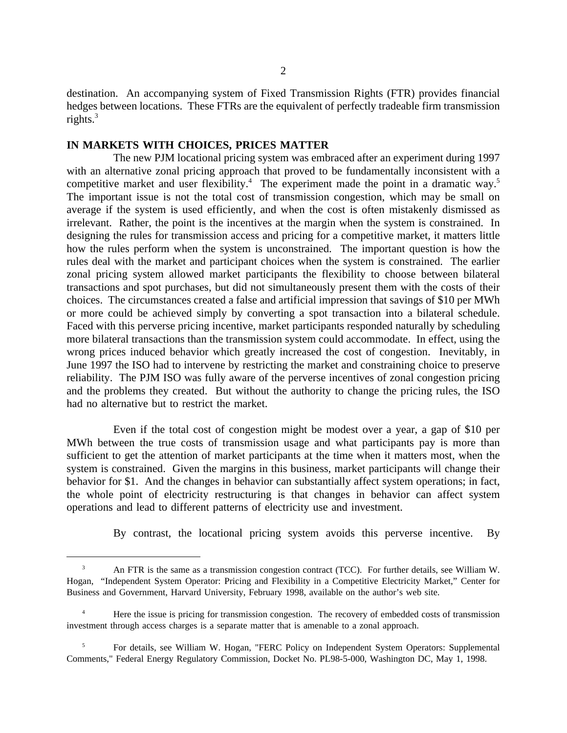destination. An accompanying system of Fixed Transmission Rights (FTR) provides financial hedges between locations. These FTRs are the equivalent of perfectly tradeable firm transmission rights. $3$ 

### **IN MARKETS WITH CHOICES, PRICES MATTER**

The new PJM locational pricing system was embraced after an experiment during 1997 with an alternative zonal pricing approach that proved to be fundamentally inconsistent with a competitive market and user flexibility.<sup>4</sup> The experiment made the point in a dramatic way.<sup>5</sup> The important issue is not the total cost of transmission congestion, which may be small on average if the system is used efficiently, and when the cost is often mistakenly dismissed as irrelevant. Rather, the point is the incentives at the margin when the system is constrained. In designing the rules for transmission access and pricing for a competitive market, it matters little how the rules perform when the system is unconstrained. The important question is how the rules deal with the market and participant choices when the system is constrained. The earlier zonal pricing system allowed market participants the flexibility to choose between bilateral transactions and spot purchases, but did not simultaneously present them with the costs of their choices. The circumstances created a false and artificial impression that savings of \$10 per MWh or more could be achieved simply by converting a spot transaction into a bilateral schedule. Faced with this perverse pricing incentive, market participants responded naturally by scheduling more bilateral transactions than the transmission system could accommodate. In effect, using the wrong prices induced behavior which greatly increased the cost of congestion. Inevitably, in June 1997 the ISO had to intervene by restricting the market and constraining choice to preserve reliability. The PJM ISO was fully aware of the perverse incentives of zonal congestion pricing and the problems they created. But without the authority to change the pricing rules, the ISO had no alternative but to restrict the market.

Even if the total cost of congestion might be modest over a year, a gap of \$10 per MWh between the true costs of transmission usage and what participants pay is more than sufficient to get the attention of market participants at the time when it matters most, when the system is constrained. Given the margins in this business, market participants will change their behavior for \$1. And the changes in behavior can substantially affect system operations; in fact, the whole point of electricity restructuring is that changes in behavior can affect system operations and lead to different patterns of electricity use and investment.

By contrast, the locational pricing system avoids this perverse incentive. By

<sup>3</sup> An FTR is the same as a transmission congestion contract (TCC). For further details, see William W. Hogan, "Independent System Operator: Pricing and Flexibility in a Competitive Electricity Market," Center for Business and Government, Harvard University, February 1998, available on the author's web site.

<sup>&</sup>lt;sup>4</sup> Here the issue is pricing for transmission congestion. The recovery of embedded costs of transmission investment through access charges is a separate matter that is amenable to a zonal approach.

<sup>5</sup> For details, see William W. Hogan, "FERC Policy on Independent System Operators: Supplemental Comments," Federal Energy Regulatory Commission, Docket No. PL98-5-000, Washington DC, May 1, 1998.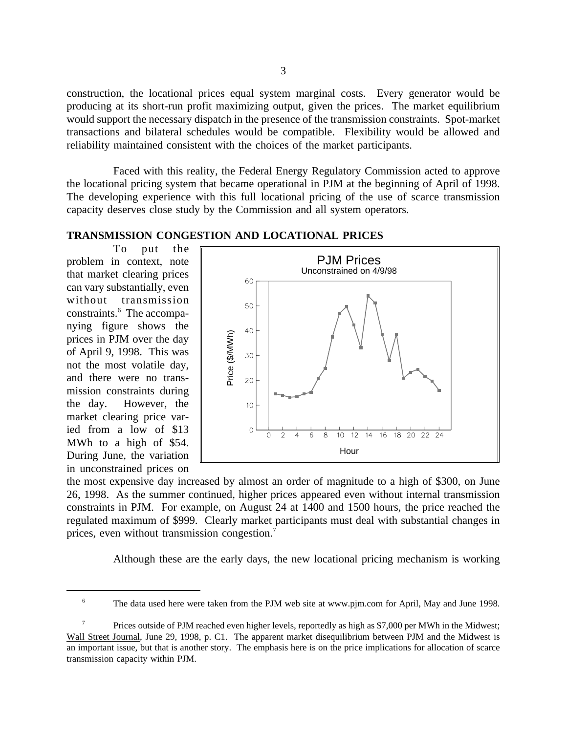construction, the locational prices equal system marginal costs. Every generator would be producing at its short-run profit maximizing output, given the prices. The market equilibrium would support the necessary dispatch in the presence of the transmission constraints. Spot-market transactions and bilateral schedules would be compatible. Flexibility would be allowed and reliability maintained consistent with the choices of the market participants.

Faced with this reality, the Federal Energy Regulatory Commission acted to approve the locational pricing system that became operational in PJM at the beginning of April of 1998. The developing experience with this full locational pricing of the use of scarce transmission capacity deserves close study by the Commission and all system operators.

## **TRANSMISSION CONGESTION AND LOCATIONAL PRICES**

To put the problem in context, note that market clearing prices can vary substantially, even without transmission constraints.<sup>6</sup> The accompanying figure shows the prices in PJM over the day of April 9, 1998. This was not the most volatile day, and there were no transmission constraints during the day. However, the market clearing price varied from a low of \$13 MWh to a high of \$54. During June, the variation in unconstrained prices on



the most expensive day increased by almost an order of magnitude to a high of \$300, on June 26, 1998. As the summer continued, higher prices appeared even without internal transmission constraints in PJM. For example, on August 24 at 1400 and 1500 hours, the price reached the regulated maximum of \$999. Clearly market participants must deal with substantial changes in prices, even without transmission congestion.7

Although these are the early days, the new locational pricing mechanism is working

<sup>&</sup>lt;sup>6</sup> The data used here were taken from the PJM web site at www.pjm.com for April, May and June 1998.

Prices outside of PJM reached even higher levels, reportedly as high as \$7,000 per MWh in the Midwest; Wall Street Journal, June 29, 1998, p. C1. The apparent market disequilibrium between PJM and the Midwest is an important issue, but that is another story. The emphasis here is on the price implications for allocation of scarce transmission capacity within PJM.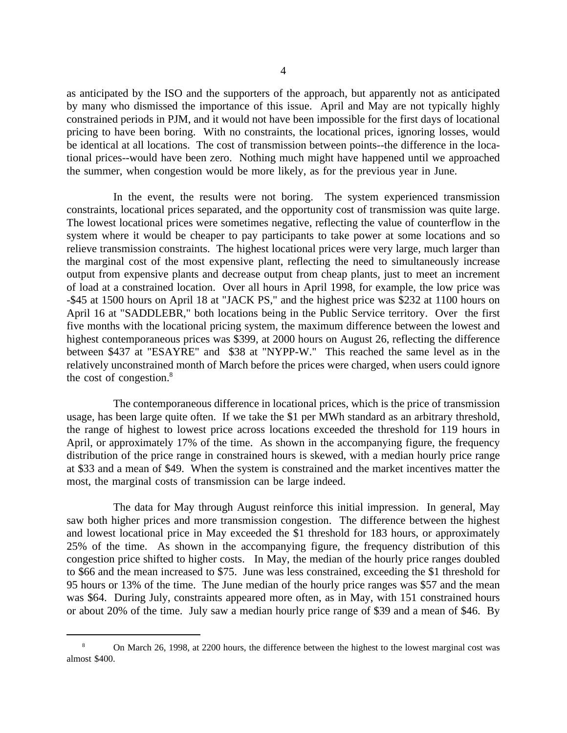as anticipated by the ISO and the supporters of the approach, but apparently not as anticipated by many who dismissed the importance of this issue. April and May are not typically highly constrained periods in PJM, and it would not have been impossible for the first days of locational pricing to have been boring. With no constraints, the locational prices, ignoring losses, would be identical at all locations. The cost of transmission between points--the difference in the locational prices--would have been zero. Nothing much might have happened until we approached the summer, when congestion would be more likely, as for the previous year in June.

In the event, the results were not boring. The system experienced transmission constraints, locational prices separated, and the opportunity cost of transmission was quite large. The lowest locational prices were sometimes negative, reflecting the value of counterflow in the system where it would be cheaper to pay participants to take power at some locations and so relieve transmission constraints. The highest locational prices were very large, much larger than the marginal cost of the most expensive plant, reflecting the need to simultaneously increase output from expensive plants and decrease output from cheap plants, just to meet an increment of load at a constrained location. Over all hours in April 1998, for example, the low price was -\$45 at 1500 hours on April 18 at "JACK PS," and the highest price was \$232 at 1100 hours on April 16 at "SADDLEBR," both locations being in the Public Service territory. Over the first five months with the locational pricing system, the maximum difference between the lowest and highest contemporaneous prices was \$399, at 2000 hours on August 26, reflecting the difference between \$437 at "ESAYRE" and \$38 at "NYPP-W." This reached the same level as in the relatively unconstrained month of March before the prices were charged, when users could ignore the cost of congestion. $8$ 

The contemporaneous difference in locational prices, which is the price of transmission usage, has been large quite often. If we take the \$1 per MWh standard as an arbitrary threshold, the range of highest to lowest price across locations exceeded the threshold for 119 hours in April, or approximately 17% of the time. As shown in the accompanying figure, the frequency distribution of the price range in constrained hours is skewed, with a median hourly price range at \$33 and a mean of \$49. When the system is constrained and the market incentives matter the most, the marginal costs of transmission can be large indeed.

The data for May through August reinforce this initial impression. In general, May saw both higher prices and more transmission congestion. The difference between the highest and lowest locational price in May exceeded the \$1 threshold for 183 hours, or approximately 25% of the time. As shown in the accompanying figure, the frequency distribution of this congestion price shifted to higher costs. In May, the median of the hourly price ranges doubled to \$66 and the mean increased to \$75. June was less constrained, exceeding the \$1 threshold for 95 hours or 13% of the time. The June median of the hourly price ranges was \$57 and the mean was \$64. During July, constraints appeared more often, as in May, with 151 constrained hours or about 20% of the time. July saw a median hourly price range of \$39 and a mean of \$46. By

<sup>8</sup> On March 26, 1998, at 2200 hours, the difference between the highest to the lowest marginal cost was almost \$400.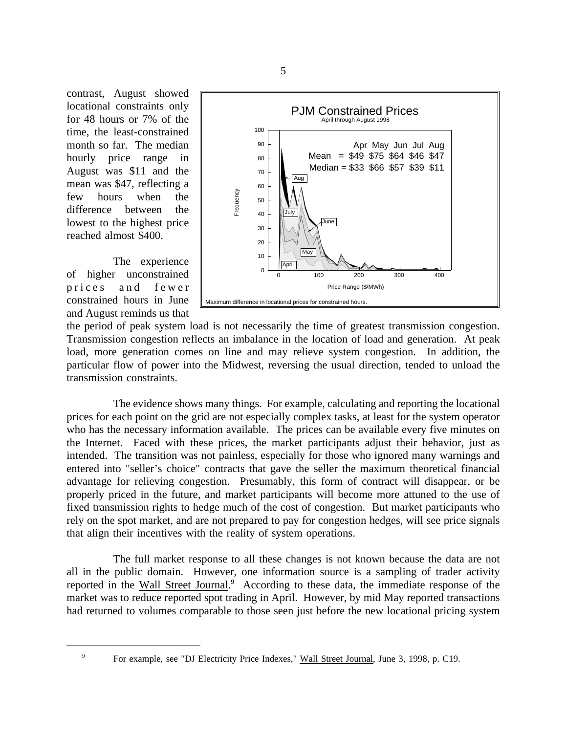contrast, August showed locational constraints only for 48 hours or 7% of the time, the least-constrained month so far. The median hourly price range in August was \$11 and the mean was \$47, reflecting a few hours when the difference between the lowest to the highest price reached almost \$400.

The experience of higher unconstrained prices and fewer constrained hours in June and August reminds us that



the period of peak system load is not necessarily the time of greatest transmission congestion. Transmission congestion reflects an imbalance in the location of load and generation. At peak load, more generation comes on line and may relieve system congestion. In addition, the particular flow of power into the Midwest, reversing the usual direction, tended to unload the transmission constraints.

The evidence shows many things. For example, calculating and reporting the locational prices for each point on the grid are not especially complex tasks, at least for the system operator who has the necessary information available. The prices can be available every five minutes on the Internet. Faced with these prices, the market participants adjust their behavior, just as intended. The transition was not painless, especially for those who ignored many warnings and entered into "seller's choice" contracts that gave the seller the maximum theoretical financial advantage for relieving congestion. Presumably, this form of contract will disappear, or be properly priced in the future, and market participants will become more attuned to the use of fixed transmission rights to hedge much of the cost of congestion. But market participants who rely on the spot market, and are not prepared to pay for congestion hedges, will see price signals that align their incentives with the reality of system operations.

The full market response to all these changes is not known because the data are not all in the public domain. However, one information source is a sampling of trader activity reported in the Wall Street Journal.<sup>9</sup> According to these data, the immediate response of the market was to reduce reported spot trading in April. However, by mid May reported transactions had returned to volumes comparable to those seen just before the new locational pricing system

<sup>&</sup>lt;sup>9</sup> For example, see "DJ Electricity Price Indexes," Wall Street Journal, June 3, 1998, p. C19.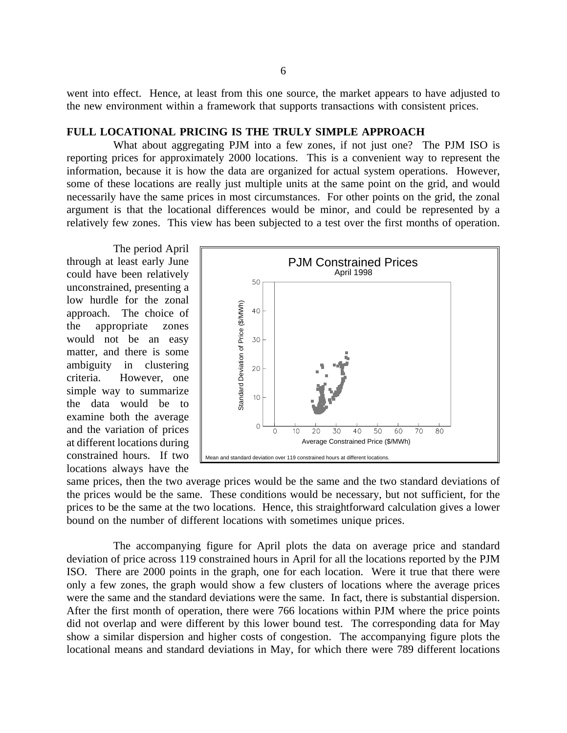went into effect. Hence, at least from this one source, the market appears to have adjusted to the new environment within a framework that supports transactions with consistent prices.

## **FULL LOCATIONAL PRICING IS THE TRULY SIMPLE APPROACH**

What about aggregating PJM into a few zones, if not just one? The PJM ISO is reporting prices for approximately 2000 locations. This is a convenient way to represent the information, because it is how the data are organized for actual system operations. However, some of these locations are really just multiple units at the same point on the grid, and would necessarily have the same prices in most circumstances. For other points on the grid, the zonal argument is that the locational differences would be minor, and could be represented by a relatively few zones. This view has been subjected to a test over the first months of operation.

The period April through at least early June could have been relatively unconstrained, presenting a low hurdle for the zonal approach. The choice of the appropriate zones would not be an easy matter, and there is some ambiguity in clustering criteria. However, one simple way to summarize the data would be to examine both the average and the variation of prices at different locations during constrained hours. If two locations always have the



same prices, then the two average prices would be the same and the two standard deviations of the prices would be the same. These conditions would be necessary, but not sufficient, for the prices to be the same at the two locations. Hence, this straightforward calculation gives a lower bound on the number of different locations with sometimes unique prices.

The accompanying figure for April plots the data on average price and standard deviation of price across 119 constrained hours in April for all the locations reported by the PJM ISO. There are 2000 points in the graph, one for each location. Were it true that there were only a few zones, the graph would show a few clusters of locations where the average prices were the same and the standard deviations were the same. In fact, there is substantial dispersion. After the first month of operation, there were 766 locations within PJM where the price points did not overlap and were different by this lower bound test. The corresponding data for May show a similar dispersion and higher costs of congestion. The accompanying figure plots the locational means and standard deviations in May, for which there were 789 different locations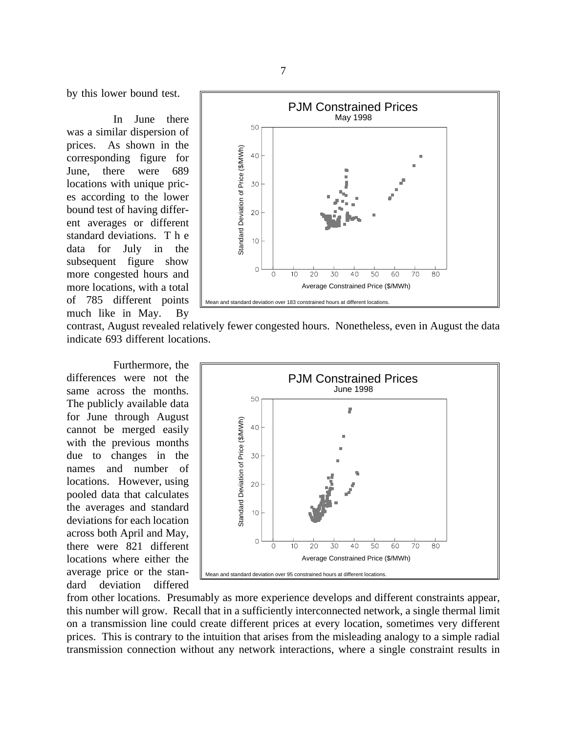by this lower bound test.

In June there was a similar dispersion of prices. As shown in the corresponding figure for June, there were 689 locations with unique prices according to the lower bound test of having different averages or different standard deviations. T h e data for July in the subsequent figure show more congested hours and more locations, with a total of 785 different points much like in May. By



contrast, August revealed relatively fewer congested hours. Nonetheless, even in August the data indicate 693 different locations.

Furthermore, the differences were not the same across the months. The publicly available data for June through August cannot be merged easily with the previous months due to changes in the names and number of locations. However, using pooled data that calculates the averages and standard deviations for each location across both April and May, there were 821 different locations where either the average price or the standard deviation differed



from other locations. Presumably as more experience develops and different constraints appear, this number will grow. Recall that in a sufficiently interconnected network, a single thermal limit on a transmission line could create different prices at every location, sometimes very different prices. This is contrary to the intuition that arises from the misleading analogy to a simple radial transmission connection without any network interactions, where a single constraint results in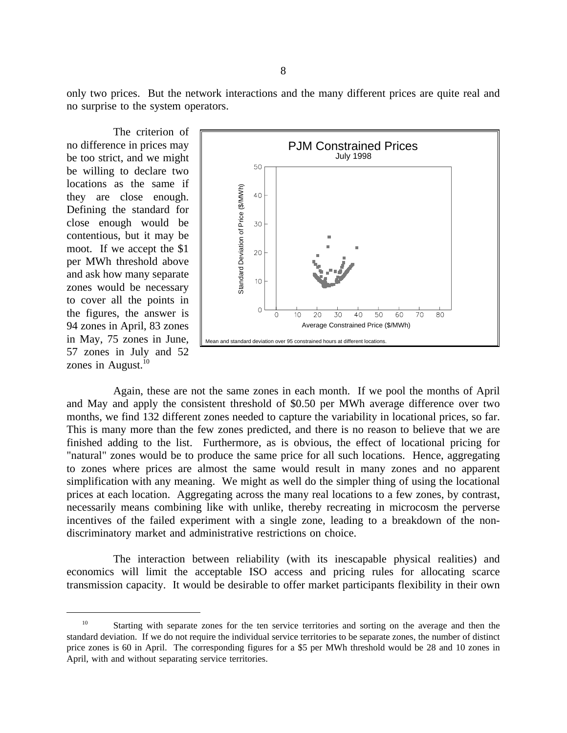only two prices. But the network interactions and the many different prices are quite real and no surprise to the system operators.

The criterion of no difference in prices may be too strict, and we might be willing to declare two locations as the same if they are close enough. Defining the standard for close enough would be contentious, but it may be moot. If we accept the \$1 per MWh threshold above and ask how many separate zones would be necessary to cover all the points in the figures, the answer is 94 zones in April, 83 zones in May, 75 zones in June, 57 zones in July and 52 zones in August. $10$ 



Again, these are not the same zones in each month. If we pool the months of April and May and apply the consistent threshold of \$0.50 per MWh average difference over two months, we find 132 different zones needed to capture the variability in locational prices, so far. This is many more than the few zones predicted, and there is no reason to believe that we are finished adding to the list. Furthermore, as is obvious, the effect of locational pricing for "natural" zones would be to produce the same price for all such locations. Hence, aggregating to zones where prices are almost the same would result in many zones and no apparent simplification with any meaning. We might as well do the simpler thing of using the locational prices at each location. Aggregating across the many real locations to a few zones, by contrast, necessarily means combining like with unlike, thereby recreating in microcosm the perverse incentives of the failed experiment with a single zone, leading to a breakdown of the nondiscriminatory market and administrative restrictions on choice.

The interaction between reliability (with its inescapable physical realities) and economics will limit the acceptable ISO access and pricing rules for allocating scarce transmission capacity. It would be desirable to offer market participants flexibility in their own

<sup>&</sup>lt;sup>10</sup> Starting with separate zones for the ten service territories and sorting on the average and then the standard deviation. If we do not require the individual service territories to be separate zones, the number of distinct price zones is 60 in April. The corresponding figures for a \$5 per MWh threshold would be 28 and 10 zones in April, with and without separating service territories.